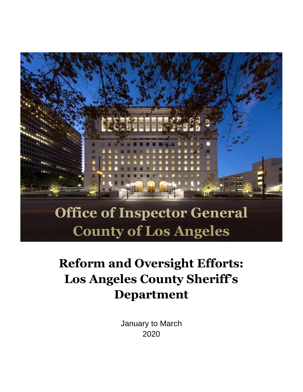

# **County of Los Angeles**

## **Reform and Oversight Efforts: Los Angeles County Sheriff's Department**

January to March 2020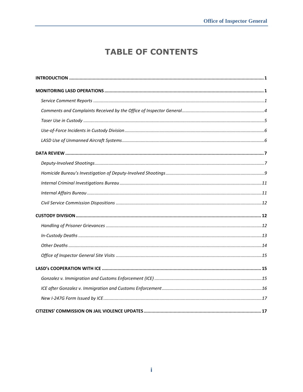### **TABLE OF CONTENTS**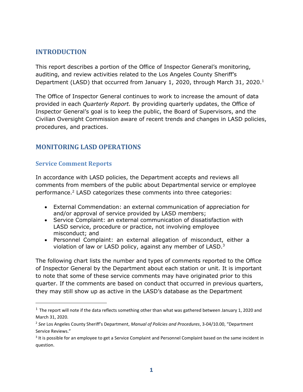#### <span id="page-2-0"></span>**INTRODUCTION**

This report describes a portion of the Office of Inspector General's monitoring, auditing, and review activities related to the Los Angeles County Sheriff's Department (LASD) that occurred from January 1, 2020, through March 31, 2020.<sup>1</sup>

The Office of Inspector General continues to work to increase the amount of data provided in each *Quarterly Report.* By providing quarterly updates, the Office of Inspector General's goal is to keep the public, the Board of Supervisors, and the Civilian Oversight Commission aware of recent trends and changes in LASD policies, procedures, and practices.

#### <span id="page-2-1"></span>**MONITORING LASD OPERATIONS**

#### <span id="page-2-2"></span>**Service Comment Reports**

In accordance with LASD policies, the Department accepts and reviews all comments from members of the public about Departmental service or employee performance.<sup>2</sup> LASD categorizes these comments into three categories:

- External Commendation: an external communication of appreciation for and/or approval of service provided by LASD members;
- Service Complaint: an external communication of dissatisfaction with LASD service, procedure or practice, not involving employee misconduct; and
- Personnel Complaint: an external allegation of misconduct, either a violation of law or LASD policy, against any member of LASD.<sup>3</sup>

The following chart lists the number and types of comments reported to the Office of Inspector General by the Department about each station or unit. It is important to note that some of these service comments may have originated prior to this quarter. If the comments are based on conduct that occurred in previous quarters, they may still show up as active in the LASD's database as the Department

 $1$  The report will note if the data reflects something other than what was gathered between January 1, 2020 and March 31, 2020.

<sup>2</sup> *See* Los Angeles County Sheriff's Department, *Manual of Policies and Procedures*, 3-04/10.00, "Department Service Reviews."

<sup>&</sup>lt;sup>3</sup> It is possible for an employee to get a Service Complaint and Personnel Complaint based on the same incident in question.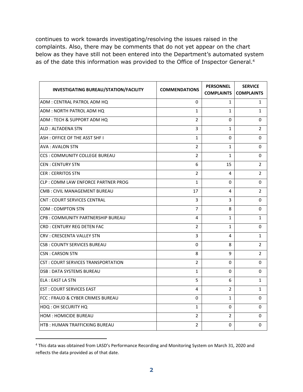continues to work towards investigating/resolving the issues raised in the complaints. Also, there may be comments that do not yet appear on the chart below as they have still not been entered into the Department's automated system as of the date this information was provided to the Office of Inspector General. 4

| <b>INVESTIGATING BUREAU/STATION/FACILITY</b> | <b>COMMENDATIONS</b> | <b>PERSONNEL</b><br><b>COMPLAINTS</b> | <b>SERVICE</b><br><b>COMPLAINTS</b> |
|----------------------------------------------|----------------------|---------------------------------------|-------------------------------------|
| ADM : CENTRAL PATROL ADM HQ                  | 0                    | 1                                     | 1                                   |
| ADM: NORTH PATROL ADM HQ                     | $\mathbf{1}$         | $\mathbf{1}$                          | $\mathbf{1}$                        |
| ADM : TECH & SUPPORT ADM HQ                  | $\overline{2}$       | 0                                     | 0                                   |
| ALD : ALTADENA STN                           | 3                    | 1                                     | 2                                   |
| ASH: OFFICE OF THE ASST SHE I                | $\mathbf{1}$         | 0                                     | 0                                   |
| <b>AVA : AVALON STN</b>                      | $\overline{2}$       | $\mathbf{1}$                          | 0                                   |
| CCS : COMMUNITY COLLEGE BUREAU               | $\overline{2}$       | 1                                     | 0                                   |
| CEN : CENTURY STN                            | 6                    | 15                                    | 2                                   |
| <b>CER : CERRITOS STN</b>                    | $\overline{2}$       | 4                                     | $\overline{2}$                      |
| CLP : COMM LAW ENFORCE PARTNER PROG          | $\mathbf{1}$         | 0                                     | 0                                   |
| CMB : CIVIL MANAGEMENT BUREAU                | 17                   | 4                                     | $\overline{2}$                      |
| <b>CNT: COURT SERVICES CENTRAL</b>           | 3                    | 3                                     | 0                                   |
| COM: COMPTON STN                             | $\overline{7}$       | 8                                     | 0                                   |
| CPB: COMMUNITY PARTNERSHIP BUREAU            | 4                    | $\mathbf{1}$                          | $\mathbf{1}$                        |
| CRD : CENTURY REG DETEN FAC                  | $\overline{2}$       | 1                                     | 0                                   |
| CRV : CRESCENTA VALLEY STN                   | 3                    | 4                                     | 1                                   |
| <b>CSB: COUNTY SERVICES BUREAU</b>           | $\Omega$             | 8                                     | $\overline{2}$                      |
| CSN : CARSON STN                             | 8                    | 9                                     | 2                                   |
| CST : COURT SERVICES TRANSPORTATION          | $\overline{2}$       | 0                                     | 0                                   |
| <b>DSB: DATA SYSTEMS BUREAU</b>              | $\mathbf{1}$         | 0                                     | 0                                   |
| ELA : EAST LA STN                            | 5                    | 6                                     | 1                                   |
| <b>EST: COURT SERVICES EAST</b>              | 4                    | 2                                     | 1                                   |
| FCC : FRAUD & CYBER CRIMES BUREAU            | 0                    | $\mathbf{1}$                          | 0                                   |
| HDQ: OH SECURITY HQ                          | $\mathbf{1}$         | 0                                     | 0                                   |
| <b>HOM: HOMICIDE BUREAU</b>                  | $\overline{2}$       | 2                                     | 0                                   |
| <b>HTB: HUMAN TRAFFICKING BUREAU</b>         | $\overline{2}$       | 0                                     | 0                                   |

<sup>4</sup> This data was obtained from LASD's Performance Recording and Monitoring System on March 31, 2020 and reflects the data provided as of that date.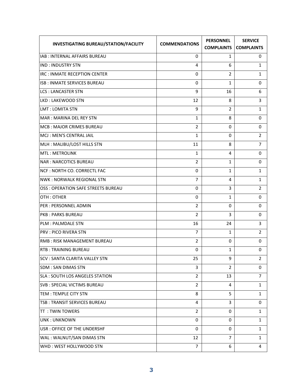| <b>INVESTIGATING BUREAU/STATION/FACILITY</b> | <b>COMMENDATIONS</b> | <b>PERSONNEL</b><br><b>COMPLAINTS</b> | <b>SERVICE</b><br><b>COMPLAINTS</b> |
|----------------------------------------------|----------------------|---------------------------------------|-------------------------------------|
| IAB : INTERNAL AFFAIRS BUREAU                | 0                    | 1                                     | 0                                   |
| <b>IND: INDUSTRY STN</b>                     | 4                    | 6                                     | 1                                   |
| <b>IRC: INMATE RECEPTION CENTER</b>          | 0                    | $\overline{2}$                        | 1                                   |
| <b>ISB: INMATE SERVICES BUREAU</b>           | 0                    | $\mathbf{1}$                          | 0                                   |
| <b>LCS: LANCASTER STN</b>                    | 9                    | 16                                    | 6                                   |
| <b>LKD: LAKEWOOD STN</b>                     | 12                   | 8                                     | 3                                   |
| <b>LMT: LOMITA STN</b>                       | 9                    | 2                                     | 1                                   |
| <b>MAR: MARINA DEL REY STN</b>               | $\mathbf{1}$         | 8                                     | 0                                   |
| MCB: MAJOR CRIMES BUREAU                     | 2                    | 0                                     | 0                                   |
| MCJ: MEN'S CENTRAL JAIL                      | 1                    | 0                                     | $\overline{2}$                      |
| MLH: MALIBU/LOST HILLS STN                   | 11                   | 8                                     | 7                                   |
| <b>MTL: METROLINK</b>                        | $\mathbf{1}$         | 4                                     | 0                                   |
| <b>NAR: NARCOTICS BUREAU</b>                 | 2                    | 1                                     | 0                                   |
| <b>NCF: NORTH CO. CORRECTL FAC</b>           | 0                    | 1                                     | 1                                   |
| <b>NWK: NORWALK REGIONAL STN</b>             | $\overline{7}$       | 4                                     | 1                                   |
| OSS : OPERATION SAFE STREETS BUREAU          | 0                    | 3                                     | 2                                   |
| OTH: OTHER                                   | 0                    | 1                                     | 0                                   |
| <b>PER: PERSONNEL ADMIN</b>                  | 2                    | 0                                     | 0                                   |
| <b>PKB: PARKS BUREAU</b>                     | $\overline{2}$       | 3                                     | 0                                   |
| <b>PLM: PALMDALE STN</b>                     | 16                   | 24                                    | 3                                   |
| <b>PRV: PICO RIVERA STN</b>                  | $\overline{7}$       | 1                                     | 2                                   |
| <b>RMB: RISK MANAGEMENT BUREAU</b>           | 2                    | 0                                     | 0                                   |
| <b>RTB: TRAINING BUREAU</b>                  | $\mathbf 0$          | $\mathbf{1}$                          | 0                                   |
| SCV : SANTA CLARITA VALLEY STN               | 25                   | 9                                     | $\overline{2}$                      |
| <b>SDM: SAN DIMAS STN</b>                    | 3                    | $\overline{2}$                        | 0                                   |
| <b>SLA: SOUTH LOS ANGELES STATION</b>        | $\overline{2}$       | 13                                    | 7                                   |
| <b>SVB: SPECIAL VICTIMS BUREAU</b>           | $\overline{2}$       | 4                                     | 1                                   |
| TEM: TEMPLE CITY STN                         | 8                    | 5                                     | 1                                   |
| TSB: TRANSIT SERVICES BUREAU                 | 4                    | 3                                     | 0                                   |
| <b>TT: TWIN TOWERS</b>                       | $\overline{2}$       | 0                                     | 1                                   |
| <b>UNK: UNKNOWN</b>                          | 0                    | 0                                     | $\mathbf{1}$                        |
| USR : OFFICE OF THE UNDERSHF                 | 0                    | 0                                     | 1                                   |
| WAL: WALNUT/SAN DIMAS STN                    | 12                   | $\overline{7}$                        | 1                                   |
| WHD: WEST HOLLYWOOD STN                      | $\overline{7}$       | 6                                     | 4                                   |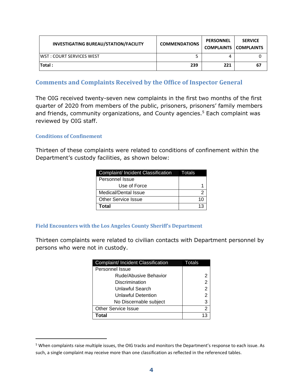| <b>INVESTIGATING BUREAU/STATION/FACILITY</b> | <b>COMMENDATIONS</b> | <b>PERSONNEL</b><br><b>COMPLAINTS COMPLAINTS</b> | <b>SERVICE</b> |
|----------------------------------------------|----------------------|--------------------------------------------------|----------------|
| IWST : COURT SERVICES WEST                   |                      |                                                  |                |
| Total :                                      | 239                  | 221                                              | 67             |

#### <span id="page-5-0"></span>**Comments and Complaints Received by the Office of Inspector General**

The OIG received twenty-seven new complaints in the first two months of the first quarter of 2020 from members of the public, prisoners, prisoners' family members and friends, community organizations, and County agencies.<sup>5</sup> Each complaint was reviewed by OIG staff.

#### **Conditions of Confinement**

Thirteen of these complaints were related to conditions of confinement within the Department's custody facilities, as shown below:

| Complaint/ Incident Classification | Totals |
|------------------------------------|--------|
| Personnel Issue                    |        |
| Use of Force                       |        |
| Medical/Dental Issue               |        |
| <b>Other Service Issue</b>         |        |
| Total                              |        |

#### **Field Encounters with the Los Angeles County Sheriff's Department**

Thirteen complaints were related to civilian contacts with Department personnel by persons who were not in custody.

| Complaint/ Incident Classification | Totals |
|------------------------------------|--------|
| Personnel Issue                    |        |
| Rude/Abusive Behavior              | 2      |
| Discrimination                     | 2      |
| Unlawful Search                    | 2      |
| Unlawful Detention                 | 2      |
| No Discernable subject             | 3      |
| <b>Other Service Issue</b>         | 2      |
| Total                              | 13     |

<sup>5</sup> When complaints raise multiple issues, the OIG tracks and monitors the Department's response to each issue. As such, a single complaint may receive more than one classification as reflected in the referenced tables.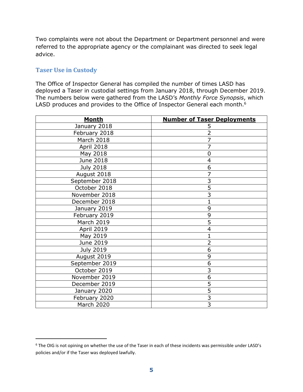Two complaints were not about the Department or Department personnel and were referred to the appropriate agency or the complainant was directed to seek legal advice.

#### <span id="page-6-0"></span>**Taser Use in Custody**

The Office of Inspector General has compiled the number of times LASD has deployed a Taser in custodial settings from January 2018, through December 2019. The numbers below were gathered from the LASD's *Monthly Force Synopsis*, which LASD produces and provides to the Office of Inspector General each month.<sup>6</sup>

| <b>Month</b>     | <b>Number of Taser Deployments</b> |
|------------------|------------------------------------|
| January 2018     | 5                                  |
| February 2018    | $\overline{2}$                     |
| March 2018       | $\overline{7}$                     |
| April 2018       | 7                                  |
| May 2018         | 0                                  |
| June 2018        | $\overline{4}$                     |
| <b>July 2018</b> | 6                                  |
| August 2018      | $\overline{7}$                     |
| September 2018   | $\overline{3}$                     |
| October 2018     | $\overline{5}$                     |
| November 2018    | $\overline{3}$                     |
| December 2018    | $\overline{1}$                     |
| January 2019     | 9                                  |
| February 2019    | 9                                  |
| March 2019       | $\overline{5}$                     |
| April 2019       | 4                                  |
| May 2019         | $\mathbf 1$                        |
| June 2019        | $\overline{2}$                     |
| <b>July 2019</b> | 6                                  |
| August 2019      | 9                                  |
| September 2019   | $\overline{6}$                     |
| October 2019     | 3                                  |
| November 2019    | $\overline{6}$                     |
| December 2019    | $\overline{5}$                     |
| January 2020     | $\overline{5}$                     |
| February 2020    | $\overline{3}$                     |
| March 2020       | $\overline{3}$                     |

<sup>&</sup>lt;sup>6</sup> The OIG is not opining on whether the use of the Taser in each of these incidents was permissible under LASD's policies and/or if the Taser was deployed lawfully.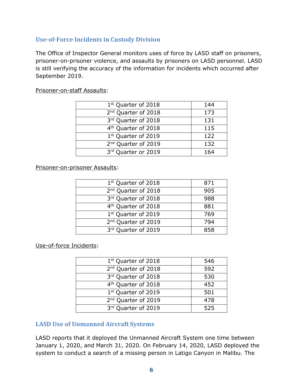#### <span id="page-7-0"></span>**Use-of-Force Incidents in Custody Division**

The Office of Inspector General monitors uses of force by LASD staff on prisoners, prisoner-on-prisoner violence, and assaults by prisoners on LASD personnel. LASD is still verifying the accuracy of the information for incidents which occurred after September 2019.

| 1st Quarter of 2018             | 144 |
|---------------------------------|-----|
| 2 <sup>nd</sup> Quarter of 2018 | 173 |
| 3rd Quarter of 2018             | 131 |
| 4 <sup>th</sup> Quarter of 2018 | 115 |
| 1 <sup>st</sup> Quarter of 2019 | 122 |
| 2 <sup>nd</sup> Quarter of 2019 | 132 |
| 3rd Quarter or 2019             | 164 |

Prisoner-on-staff Assaults:

Prisoner-on-prisoner Assaults:

| 1 <sup>st</sup> Quarter of 2018 | 871 |
|---------------------------------|-----|
| 2 <sup>nd</sup> Quarter of 2018 | 905 |
| 3rd Quarter of 2018             | 988 |
| 4 <sup>th</sup> Quarter of 2018 | 881 |
| 1 <sup>st</sup> Quarter of 2019 | 769 |
| 2 <sup>nd</sup> Quarter of 2019 | 794 |
| 3rd Quarter of 2019             | 858 |
|                                 |     |

Use-of-force Incidents:

| 1 <sup>st</sup> Quarter of 2018 | 546 |
|---------------------------------|-----|
| 2 <sup>nd</sup> Quarter of 2018 | 592 |
| 3rd Quarter of 2018             | 530 |
| 4 <sup>th</sup> Quarter of 2018 | 452 |
| 1st Quarter of 2019             | 501 |
| 2 <sup>nd</sup> Quarter of 2019 | 478 |
| 3rd Quarter of 2019             | 525 |

#### <span id="page-7-1"></span>**LASD Use of Unmanned Aircraft Systems**

LASD reports that it deployed the Unmanned Aircraft System one time between January 1, 2020, and March 31, 2020. On February 14, 2020, LASD deployed the system to conduct a search of a missing person in Latigo Canyon in Malibu. The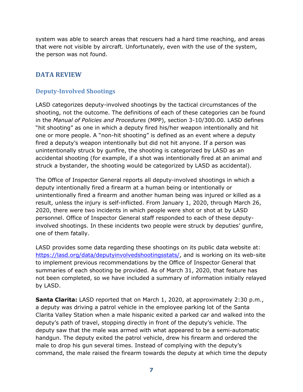system was able to search areas that rescuers had a hard time reaching, and areas that were not visible by aircraft. Unfortunately, even with the use of the system, the person was not found.

#### <span id="page-8-0"></span>**DATA REVIEW**

#### <span id="page-8-1"></span>**Deputy-Involved Shootings**

LASD categorizes deputy-involved shootings by the tactical circumstances of the shooting, not the outcome. The definitions of each of these categories can be found in the *Manual of Policies and Procedures* (MPP), section 3-10/300.00. LASD defines "hit shooting" as one in which a deputy fired his/her weapon intentionally and hit one or more people. A "non-hit shooting" is defined as an event where a deputy fired a deputy's weapon intentionally but did not hit anyone. If a person was unintentionally struck by gunfire, the shooting is categorized by LASD as an accidental shooting (for example, if a shot was intentionally fired at an animal and struck a bystander, the shooting would be categorized by LASD as accidental).

The Office of Inspector General reports all deputy-involved shootings in which a deputy intentionally fired a firearm at a human being or intentionally or unintentionally fired a firearm and another human being was injured or killed as a result, unless the injury is self-inflicted. From January 1, 2020, through March 26, 2020, there were two incidents in which people were shot or shot at by LASD personnel. Office of Inspector General staff responded to each of these deputyinvolved shootings. In these incidents two people were struck by deputies' gunfire, one of them fatally.

LASD provides some data regarding these shootings on its public data website at: [https://lasd.org/data/deputyinvolvedshootingsstats/,](https://lasd.org/data/deputyinvolvedshootingsstats/) and is working on its web-site to implement previous recommendations by the Office of Inspector General that summaries of each shooting be provided. As of March 31, 2020, that feature has not been completed, so we have included a summary of information initially relayed by LASD.

**Santa Clarita:** LASD reported that on March 1, 2020, at approximately 2:30 p.m., a deputy was driving a patrol vehicle in the employee parking lot of the Santa Clarita Valley Station when a male hispanic exited a parked car and walked into the deputy's path of travel, stopping directly in front of the deputy's vehicle. The deputy saw that the male was armed with what appeared to be a semi-automatic handgun. The deputy exited the patrol vehicle, drew his firearm and ordered the male to drop his gun several times. Instead of complying with the deputy's command, the male raised the firearm towards the deputy at which time the deputy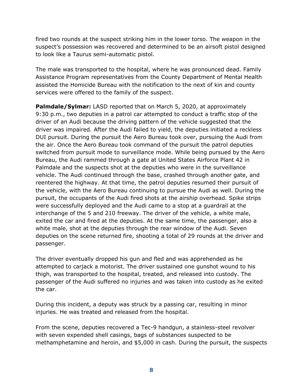fired two rounds at the suspect striking him in the lower torso. The weapon in the suspect's possession was recovered and determined to be an airsoft pistol designed to look like a Taurus semi-automatic pistol.

The male was transported to the hospital, where he was pronounced dead. Family Assistance Program representatives from the County Department of Mental Health assisted the Homicide Bureau with the notification to the next of kin and county services were offered to the family of the suspect.

**Palmdale/Sylmar:** LASD reported that on March 5, 2020, at approximately 9:30 p.m., two deputies in a patrol car attempted to conduct a traffic stop of the driver of an Audi because the driving pattern of the vehicle suggested that the driver was impaired. After the Audi failed to yield, the deputies initiated a reckless DUI pursuit. During the pursuit the Aero Bureau took over, pursuing the Audi from the air. Once the Aero Bureau took command of the pursuit the patrol deputies switched from pursuit mode to surveillance mode. While being pursued by the Aero Bureau, the Audi rammed through a gate at United States Airforce Plant 42 in Palmdale and the suspects shot at the deputies who were in the surveillance vehicle. The Audi continued through the base, crashed through another gate, and reentered the highway. At that time, the patrol deputies resumed their pursuit of the vehicle, with the Aero Bureau continuing to pursue the Audi as well. During the pursuit, the occupants of the Audi fired shots at the airship overhead. Spike strips were successfully deployed and the Audi came to a stop at a guardrail at the interchange of the 5 and 210 freeway. The driver of the vehicle, a white male, exited the car and fired at the deputies. At the same time, the passenger, also a white male, shot at the deputies through the rear window of the Audi. Seven deputies on the scene returned fire, shooting a total of 29 rounds at the driver and passenger.

The driver eventually dropped his gun and fled and was apprehended as he attempted to carjack a motorist. The driver sustained one gunshot wound to his thigh, was transported to the hospital, treated, and released into custody. The passenger of the Audi suffered no injuries and was taken into custody as he exited the car.

During this incident, a deputy was struck by a passing car, resulting in minor injuries. He was treated and released from the hospital.

From the scene, deputies recovered a Tec-9 handgun, a stainless-steel revolver with seven expended shell casings, bags of substances suspected to be methamphetamine and heroin, and \$5,000 in cash. During the pursuit, the suspects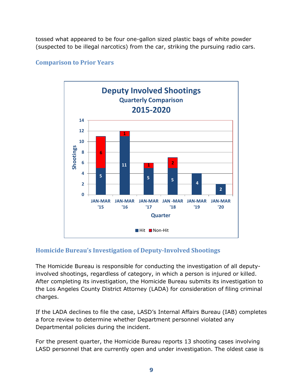tossed what appeared to be four one-gallon sized plastic bags of white powder (suspected to be illegal narcotics) from the car, striking the pursuing radio cars.

#### **Comparison to Prior Years**



#### <span id="page-10-0"></span>**Homicide Bureau's Investigation of Deputy-Involved Shootings**

The Homicide Bureau is responsible for conducting the investigation of all deputyinvolved shootings, regardless of category, in which a person is injured or killed. After completing its investigation, the Homicide Bureau submits its investigation to the Los Angeles County District Attorney (LADA) for consideration of filing criminal charges.

If the LADA declines to file the case, LASD's Internal Affairs Bureau (IAB) completes a force review to determine whether Department personnel violated any Departmental policies during the incident.

For the present quarter, the Homicide Bureau reports 13 shooting cases involving LASD personnel that are currently open and under investigation. The oldest case is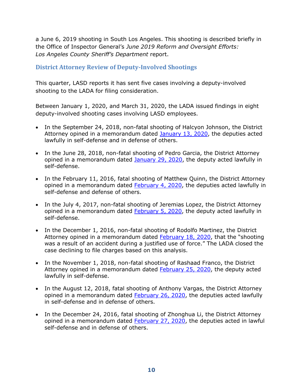a June 6, 2019 shooting in South Los Angeles. This shooting is described briefly in the Office of Inspector General's *June [2019 Reform and Oversight Efforts:](https://oig.lacounty.gov/Portals/OIG/Reports/October%202018%20Reform%20and%20Oversight%20Efforts.pdf?ver=2018-10-31-093133-533)  Los [Angeles County Sheriff's Department](https://oig.lacounty.gov/Portals/OIG/Reports/October%202018%20Reform%20and%20Oversight%20Efforts.pdf?ver=2018-10-31-093133-533)* report.

#### **District Attorney Review of Deputy-Involved Shootings**

This quarter, LASD reports it has sent five cases involving a deputy-involved shooting to the LADA for filing consideration.

Between January 1, 2020, and March 31, 2020, the LADA issued findings in eight deputy-involved shooting cases involving LASD employees.

- In the September 24, 2018, non-fatal shooting of Halcyon Johnson, the District Attorney opined in a memorandum dated [January 13, 2020,](https://da.lacounty.gov/sites/default/files/pdf/JSID_OIS_01_2020_Johnson.pdf) the deputies acted lawfully in self-defense and in defense of others.
- In the June 28, 2018, non-fatal shooting of Pedro Garcia, the District Attorney opined in a memorandum dated [January 29, 2020,](https://da.lacounty.gov/sites/default/files/pdf/JSID_OIS_01_2020_Garcia.pdf) the deputy acted lawfully in self-defense.
- In the February 11, 2016, fatal shooting of Matthew Quinn, the District Attorney opined in a memorandum dated [February 4, 2020,](https://da.lacounty.gov/sites/default/files/pdf/JSID_OIS_02_04_2020_Quinn.pdf) the deputies acted lawfully in self-defense and defense of others.
- In the July 4, 2017, non-fatal shooting of Jeremias Lopez, the District Attorney opined in a memorandum dated **February 5, 2020**, the deputy acted lawfully in self-defense.
- In the December 1, 2016, non-fatal shooting of Rodolfo Martinez, the District Attorney opined in a memorandum dated [February 18, 2020](https://da.lacounty.gov/sites/default/files/pdf/JSID_OIS_02_18_2020_Martinez.pdf), that the "shooting was a result of an accident during a justified use of force." The LADA closed the case declining to file charges based on this analysis.
- In the November 1, 2018, non-fatal shooting of Rashaad Franco, the District Attorney opined in a memorandum dated **February 25, 2020**, the deputy acted lawfully in self-defense.
- In the August 12, 2018, fatal shooting of Anthony Vargas, the District Attorney opined in a memorandum dated **February 26, 2020**, the deputies acted lawfully in self-defense and in defense of others.
- In the December 24, 2016, fatal shooting of Zhonghua Li, the District Attorney opined in a memorandum dated **February 27, 2020**, the deputies acted in lawful self-defense and in defense of others.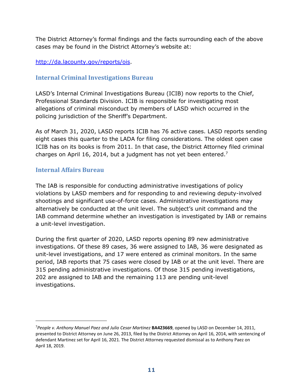The District Attorney's formal findings and the facts surrounding each of the above cases may be found in the District Attorney's website at:

#### [http://da.lacounty.gov/reports/ois.](http://da.lacounty.gov/reports/ois)

#### <span id="page-12-0"></span>**Internal Criminal Investigations Bureau**

LASD's Internal Criminal Investigations Bureau (ICIB) now reports to the Chief, Professional Standards Division. ICIB is responsible for investigating most allegations of criminal misconduct by members of LASD which occurred in the policing jurisdiction of the Sheriff's Department.

As of March 31, 2020, LASD reports ICIB has 76 active cases. LASD reports sending eight cases this quarter to the LADA for filing considerations. The oldest open case ICIB has on its books is from 2011. In that case, the District Attorney filed criminal charges on April 16, 2014, but a judgment has not yet been entered.<sup>7</sup>

#### <span id="page-12-1"></span>**Internal Affairs Bureau**

The IAB is responsible for conducting administrative investigations of policy violations by LASD members and for responding to and reviewing deputy-involved shootings and significant use-of-force cases. Administrative investigations may alternatively be conducted at the unit level. The subject's unit command and the IAB command determine whether an investigation is investigated by IAB or remains a unit-level investigation.

During the first quarter of 2020, LASD reports opening 89 new administrative investigations. Of these 89 cases, 36 were assigned to IAB, 36 were designated as unit-level investigations, and 17 were entered as criminal monitors. In the same period, IAB reports that 75 cases were closed by IAB or at the unit level. There are 315 pending administrative investigations. Of those 315 pending investigations, 202 are assigned to IAB and the remaining 113 are pending unit-level investigations.

<sup>7</sup>*People v. Anthony Manuel Paez and Julio Cesar Martinez* **BA423669**, opened by LASD on December 14, 2011, presented to District Attorney on June 26, 2013, filed by the District Attorney on April 16, 2014, with sentencing of defendant Martinez set for April 16, 2021. The District Attorney requested dismissal as to Anthony Paez on April 18, 2019.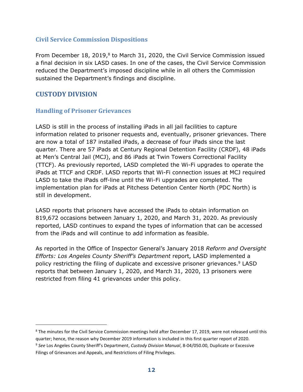#### <span id="page-13-0"></span>**Civil Service Commission Dispositions**

From December 18, 2019,<sup>8</sup> to March 31, 2020, the Civil Service Commission issued a final decision in six LASD cases. In one of the cases, the Civil Service Commission reduced the Department's imposed discipline while in all others the Commission sustained the Department's findings and discipline.

#### <span id="page-13-1"></span>**CUSTODY DIVISION**

#### <span id="page-13-2"></span>**Handling of Prisoner Grievances**

LASD is still in the process of installing iPads in all jail facilities to capture information related to prisoner requests and, eventually, prisoner grievances. There are now a total of 187 installed iPads, a decrease of four iPads since the last quarter. There are 57 iPads at Century Regional Detention Facility (CRDF), 48 iPads at Men's Central Jail (MCJ), and 86 iPads at Twin Towers Correctional Facility (TTCF). As previously reported, LASD completed the Wi-Fi upgrades to operate the iPads at TTCF and CRDF. LASD reports that Wi-Fi connection issues at MCJ required LASD to take the iPads off-line until the Wi-Fi upgrades are completed. The implementation plan for iPads at Pitchess Detention Center North (PDC North) is still in development.

LASD reports that prisoners have accessed the iPads to obtain information on 819,672 occasions between January 1, 2020, and March 31, 2020. As previously reported, LASD continues to expand the types of information that can be accessed from the iPads and will continue to add information as feasible.

As reported in the Office of Inspector General's January 2018 *Reform and Oversight Efforts: Los Angeles County Sheriff's Department* report, LASD implemented a policy restricting the filing of duplicate and excessive prisoner grievances.<sup>9</sup> LASD reports that between January 1, 2020, and March 31, 2020, 13 prisoners were restricted from filing 41 grievances under this policy.

<sup>&</sup>lt;sup>8</sup> The minutes for the Civil Service Commission meetings held after December 17, 2019, were not released until this quarter; hence, the reason why December 2019 information is included in this first quarter report of 2020.

<sup>9</sup> *See* Los Angeles County Sheriff's Department, *Custody Division Manual*, 8-04/050.00, Duplicate or Excessive Filings of Grievances and Appeals, and Restrictions of Filing Privileges.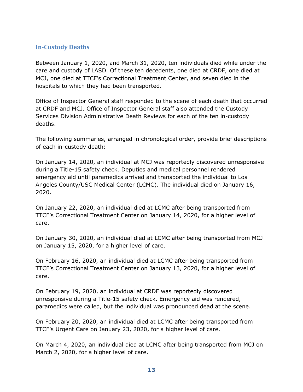#### <span id="page-14-0"></span>**In-Custody Deaths**

Between January 1, 2020, and March 31, 2020, ten individuals died while under the care and custody of LASD. Of these ten decedents, one died at CRDF, one died at MCJ, one died at TTCF's Correctional Treatment Center, and seven died in the hospitals to which they had been transported.

Office of Inspector General staff responded to the scene of each death that occurred at CRDF and MCJ. Office of Inspector General staff also attended the Custody Services Division Administrative Death Reviews for each of the ten in-custody deaths.

The following summaries, arranged in chronological order, provide brief descriptions of each in-custody death:

On January 14, 2020, an individual at MCJ was reportedly discovered unresponsive during a Title-15 safety check. Deputies and medical personnel rendered emergency aid until paramedics arrived and transported the individual to Los Angeles County/USC Medical Center (LCMC). The individual died on January 16, 2020.

On January 22, 2020, an individual died at LCMC after being transported from TTCF's Correctional Treatment Center on January 14, 2020, for a higher level of care.

On January 30, 2020, an individual died at LCMC after being transported from MCJ on January 15, 2020, for a higher level of care.

On February 16, 2020, an individual died at LCMC after being transported from TTCF's Correctional Treatment Center on January 13, 2020, for a higher level of care.

On February 19, 2020, an individual at CRDF was reportedly discovered unresponsive during a Title-15 safety check. Emergency aid was rendered, paramedics were called, but the individual was pronounced dead at the scene.

On February 20, 2020, an individual died at LCMC after being transported from TTCF's Urgent Care on January 23, 2020, for a higher level of care.

On March 4, 2020, an individual died at LCMC after being transported from MCJ on March 2, 2020, for a higher level of care.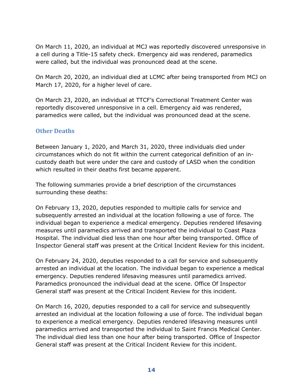On March 11, 2020, an individual at MCJ was reportedly discovered unresponsive in a cell during a Title-15 safety check. Emergency aid was rendered, paramedics were called, but the individual was pronounced dead at the scene.

On March 20, 2020, an individual died at LCMC after being transported from MCJ on March 17, 2020, for a higher level of care.

On March 23, 2020, an individual at TTCF's Correctional Treatment Center was reportedly discovered unresponsive in a cell. Emergency aid was rendered, paramedics were called, but the individual was pronounced dead at the scene.

#### <span id="page-15-0"></span>**Other Deaths**

Between January 1, 2020, and March 31, 2020, three individuals died under circumstances which do not fit within the current categorical definition of an incustody death but were under the care and custody of LASD when the condition which resulted in their deaths first became apparent.

The following summaries provide a brief description of the circumstances surrounding these deaths:

On February 13, 2020, deputies responded to multiple calls for service and subsequently arrested an individual at the location following a use of force. The individual began to experience a medical emergency. Deputies rendered lifesaving measures until paramedics arrived and transported the individual to Coast Plaza Hospital. The individual died less than one hour after being transported. Office of Inspector General staff was present at the Critical Incident Review for this incident.

On February 24, 2020, deputies responded to a call for service and subsequently arrested an individual at the location. The individual began to experience a medical emergency. Deputies rendered lifesaving measures until paramedics arrived. Paramedics pronounced the individual dead at the scene. Office Of Inspector General staff was present at the Critical Incident Review for this incident.

On March 16, 2020, deputies responded to a call for service and subsequently arrested an individual at the location following a use of force. The individual began to experience a medical emergency. Deputies rendered lifesaving measures until paramedics arrived and transported the individual to Saint Francis Medical Center. The individual died less than one hour after being transported. Office of Inspector General staff was present at the Critical Incident Review for this incident.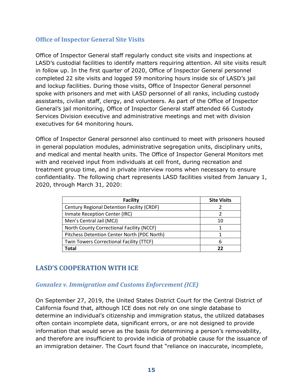#### <span id="page-16-0"></span>**Office of Inspector General Site Visits**

Office of Inspector General staff regularly conduct site visits and inspections at LASD's custodial facilities to identify matters requiring attention. All site visits result in follow up. In the first quarter of 2020, Office of Inspector General personnel completed 22 site visits and logged 59 monitoring hours inside six of LASD's jail and lockup facilities. During those visits, Office of Inspector General personnel spoke with prisoners and met with LASD personnel of all ranks, including custody assistants, civilian staff, clergy, and volunteers. As part of the Office of Inspector General's jail monitoring, Office of Inspector General staff attended 66 Custody Services Division executive and administrative meetings and met with division executives for 64 monitoring hours.

Office of Inspector General personnel also continued to meet with prisoners housed in general population modules, administrative segregation units, disciplinary units, and medical and mental health units. The Office of Inspector General Monitors met with and received input from individuals at cell front, during recreation and treatment group time, and in private interview rooms when necessary to ensure confidentiality. The following chart represents LASD facilities visited from January 1, 2020, through March 31, 2020:

| <b>Facility</b>                             | <b>Site Visits</b> |
|---------------------------------------------|--------------------|
| Century Regional Detention Facility (CRDF)  |                    |
| Inmate Reception Center (IRC)               |                    |
| Men's Central Jail (MCJ)                    | 10                 |
| North County Correctional Facility (NCCF)   |                    |
| Pitchess Detention Center North (PDC North) |                    |
| Twin Towers Correctional Facility (TTCF)    | 6                  |
| Total                                       | フフ                 |

#### <span id="page-16-1"></span>**LASD'S COOPERATION WITH ICE**

#### <span id="page-16-2"></span>*Gonzalez v. Immigration and Customs Enforcement (ICE)*

On September 27, 2019, the United States District Court for the Central District of California found that, although ICE does not rely on one single database to determine an individual's citizenship and immigration status, the utilized databases often contain incomplete data, significant errors, or are not designed to provide information that would serve as the basis for determining a person's removability, and therefore are insufficient to provide indicia of probable cause for the issuance of an immigration detainer. The Court found that "reliance on inaccurate, incomplete,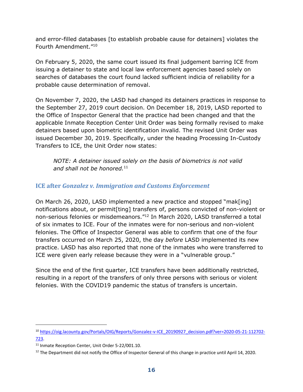and error-filled databases [to establish probable cause for detainers] violates the Fourth Amendment." 10

On February 5, 2020, the same court issued its final judgement barring ICE from issuing a detainer to state and local law enforcement agencies based solely on searches of databases the court found lacked sufficient indicia of reliability for a probable cause determination of removal.

On November 7, 2020, the LASD had changed its detainers practices in response to the September 27, 2019 court decision. On December 18, 2019, LASD reported to the Office of Inspector General that the practice had been changed and that the applicable Inmate Reception Center Unit Order was being formally revised to make detainers based upon biometric identification invalid. The revised Unit Order was issued December 30, 2019. Specifically, under the heading Processing In-Custody Transfers to ICE, the Unit Order now states:

*NOTE: A detainer issued solely on the basis of biometrics is not valid and shall not be honored.*<sup>11</sup>

#### <span id="page-17-0"></span>**ICE after** *Gonzalez v. Immigration and Customs Enforcement*

On March 26, 2020, LASD implemented a new practice and stopped "mak[ing] notifications about, or permit[ting] transfers of, persons convicted of non-violent or non-serious felonies or misdemeanors."<sup>12</sup> In March 2020, LASD transferred a total of six inmates to ICE. Four of the inmates were for non-serious and non-violent felonies. The Office of Inspector General was able to confirm that one of the four transfers occurred on March 25, 2020, the day *before* LASD implemented its new practice. LASD has also reported that none of the inmates who were transferred to ICE were given early release because they were in a "vulnerable group."

Since the end of the first quarter, ICE transfers have been additionally restricted, resulting in a report of the transfers of only three persons with serious or violent felonies. With the COVID19 pandemic the status of transfers is uncertain.

<sup>10</sup> [https://oig.lacounty.gov/Portals/OIG/Reports/Gonzalez-v-ICE\\_20190927\\_decision.pdf?ver=2020-05-21-112702-](https://oig.lacounty.gov/Portals/OIG/Reports/Gonzalez-v-ICE_20190927_decision.pdf?ver=2020-05-21-112702-723) [723.](https://oig.lacounty.gov/Portals/OIG/Reports/Gonzalez-v-ICE_20190927_decision.pdf?ver=2020-05-21-112702-723)

<sup>&</sup>lt;sup>11</sup> Inmate Reception Center, Unit Order 5-22/001.10.

 $12$  The Department did not notify the Office of Inspector General of this change in practice until April 14, 2020.